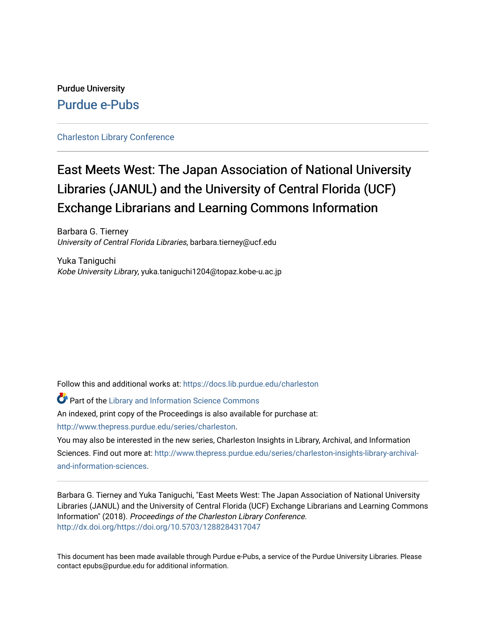# Purdue University [Purdue e-Pubs](https://docs.lib.purdue.edu/)

# [Charleston Library Conference](https://docs.lib.purdue.edu/charleston)

# East Meets West: The Japan Association of National University Libraries (JANUL) and the University of Central Florida (UCF) Exchange Librarians and Learning Commons Information

Barbara G. Tierney University of Central Florida Libraries, barbara.tierney@ucf.edu

Yuka Taniguchi Kobe University Library, yuka.taniguchi1204@topaz.kobe-u.ac.jp

Follow this and additional works at: [https://docs.lib.purdue.edu/charleston](https://docs.lib.purdue.edu/charleston?utm_source=docs.lib.purdue.edu%2Fcharleston%2F2018%2Fmanagement%2F2&utm_medium=PDF&utm_campaign=PDFCoverPages) 

**Part of the Library and Information Science Commons** 

An indexed, print copy of the Proceedings is also available for purchase at:

[http://www.thepress.purdue.edu/series/charleston.](http://www.thepress.purdue.edu/series/charleston)

You may also be interested in the new series, Charleston Insights in Library, Archival, and Information Sciences. Find out more at: [http://www.thepress.purdue.edu/series/charleston-insights-library-archival](http://www.thepress.purdue.edu/series/charleston-insights-library-archival-and-information-sciences)[and-information-sciences](http://www.thepress.purdue.edu/series/charleston-insights-library-archival-and-information-sciences).

Barbara G. Tierney and Yuka Taniguchi, "East Meets West: The Japan Association of National University Libraries (JANUL) and the University of Central Florida (UCF) Exchange Librarians and Learning Commons Information" (2018). Proceedings of the Charleston Library Conference. <http://dx.doi.org/https://doi.org/10.5703/1288284317047>

This document has been made available through Purdue e-Pubs, a service of the Purdue University Libraries. Please contact epubs@purdue.edu for additional information.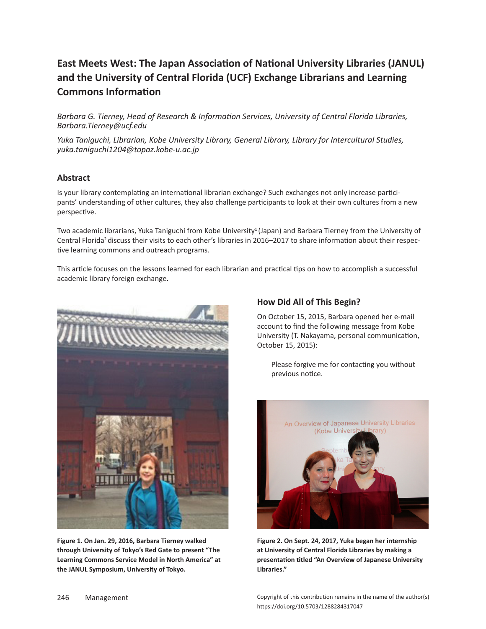# **East Meets West: The Japan Association of National University Libraries (JANUL) and the University of Central Florida (UCF) Exchange Librarians and Learning Commons Information**

*Barbara G. Tierney, Head of Research & Information Services, University of Central Florida Libraries, Barbara.Tierney@ucf.edu*

*Yuka Taniguchi, Librarian, Kobe University Library, General Library, Library for Intercultural Studies, yuka.taniguchi1204@topaz.kobe-u.ac.jp*

## **Abstract**

Is your library contemplating an international librarian exchange? Such exchanges not only increase participants' understanding of other cultures, they also challenge participants to look at their own cultures from a new perspective.

Two academic librarians, Yuka Taniguchi from Kobe University<sup>1</sup> (Japan) and Barbara Tierney from the University of Central Florida<sup>2</sup> discuss their visits to each other's libraries in 2016–2017 to share information about their respective learning commons and outreach programs.

This article focuses on the lessons learned for each librarian and practical tips on how to accomplish a successful academic library foreign exchange.



**Figure 1. On Jan. 29, 2016, Barbara Tierney walked through University of Tokyo's Red Gate to present "The Learning Commons Service Model in North America" at the JANUL Symposium, University of Tokyo.**

# **How Did All of This Begin?**

On October 15, 2015, Barbara opened her e-mail account to find the following message from Kobe University (T. Nakayama, personal communication, October 15, 2015):

Please forgive me for contacting you without previous notice.



**Figure 2. On Sept. 24, 2017, Yuka began her internship at University of Central Florida Libraries by making a presentation titled "An Overview of Japanese University Libraries."**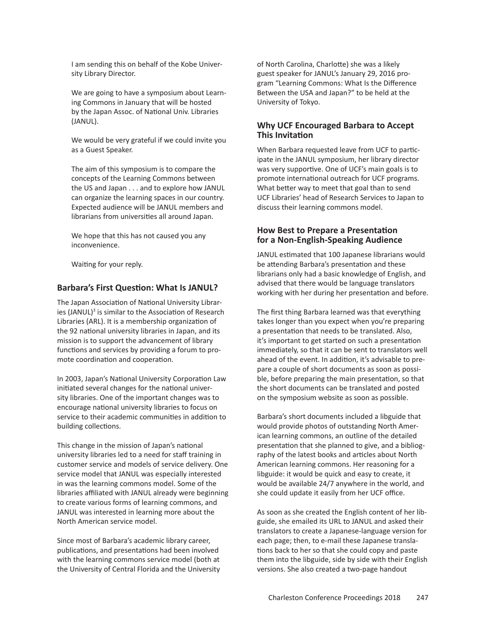I am sending this on behalf of the Kobe University Library Director.

We are going to have a symposium about Learning Commons in January that will be hosted by the Japan Assoc. of National Univ. Libraries (JANUL).

We would be very grateful if we could invite you as a Guest Speaker.

The aim of this symposium is to compare the concepts of the Learning Commons between the US and Japan . . . and to explore how JANUL can organize the learning spaces in our country. Expected audience will be JANUL members and librarians from universities all around Japan.

We hope that this has not caused you any inconvenience.

Waiting for your reply.

#### **Barbara's First Question: What Is JANUL?**

The Japan Association of National University Libraries (JANUL)<sup>3</sup> is similar to the Association of Research Libraries (ARL). It is a membership organization of the 92 national university libraries in Japan, and its mission is to support the advancement of library functions and services by providing a forum to promote coordination and cooperation.

In 2003, Japan's National University Corporation Law initiated several changes for the national university libraries. One of the important changes was to encourage national university libraries to focus on service to their academic communities in addition to building collections.

This change in the mission of Japan's national university libraries led to a need for staff training in customer service and models of service delivery. One service model that JANUL was especially interested in was the learning commons model. Some of the libraries affiliated with JANUL already were beginning to create various forms of learning commons, and JANUL was interested in learning more about the North American service model.

Since most of Barbara's academic library career, publications, and presentations had been involved with the learning commons service model (both at the University of Central Florida and the University of North Carolina, Charlotte) she was a likely guest speaker for JANUL's January 29, 2016 program "Learning Commons: What Is the Difference Between the USA and Japan?" to be held at the University of Tokyo.

### **Why UCF Encouraged Barbara to Accept This Invitation**

When Barbara requested leave from UCF to participate in the JANUL symposium, her library director was very supportive. One of UCF's main goals is to promote international outreach for UCF programs. What better way to meet that goal than to send UCF Libraries' head of Research Services to Japan to discuss their learning commons model.

### **How Best to Prepare a Presentation for a Non-English-Speaking Audience**

JANUL estimated that 100 Japanese librarians would be attending Barbara's presentation and these librarians only had a basic knowledge of English, and advised that there would be language translators working with her during her presentation and before.

The first thing Barbara learned was that everything takes longer than you expect when you're preparing a presentation that needs to be translated. Also, it's important to get started on such a presentation immediately, so that it can be sent to translators well ahead of the event. In addition, it's advisable to prepare a couple of short documents as soon as possible, before preparing the main presentation, so that the short documents can be translated and posted on the symposium website as soon as possible.

Barbara's short documents included a libguide that would provide photos of outstanding North American learning commons, an outline of the detailed presentation that she planned to give, and a bibliography of the latest books and articles about North American learning commons. Her reasoning for a libguide: it would be quick and easy to create, it would be available 24/7 anywhere in the world, and she could update it easily from her UCF office.

As soon as she created the English content of her libguide, she emailed its URL to JANUL and asked their translators to create a Japanese-language version for each page; then, to e-mail these Japanese translations back to her so that she could copy and paste them into the libguide, side by side with their English versions. She also created a two-page handout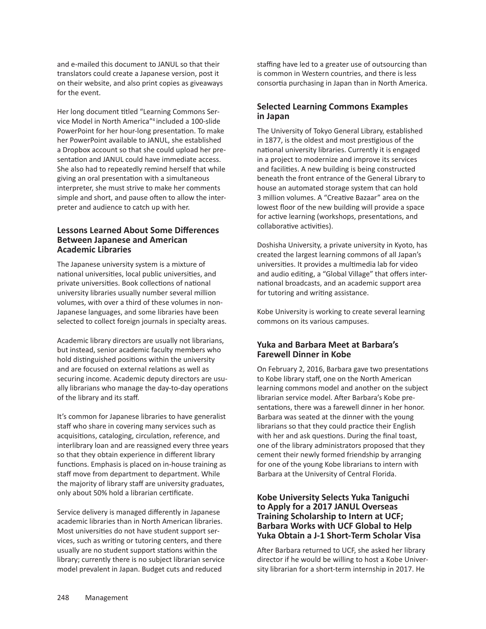and e-mailed this document to JANUL so that their translators could create a Japanese version, post it on their website, and also print copies as giveaways for the event.

Her long document titled "Learning Commons Service Model in North America"4 included a 100-slide PowerPoint for her hour-long presentation. To make her PowerPoint available to JANUL, she established a Dropbox account so that she could upload her presentation and JANUL could have immediate access. She also had to repeatedly remind herself that while giving an oral presentation with a simultaneous interpreter, she must strive to make her comments simple and short, and pause often to allow the interpreter and audience to catch up with her.

### **Lessons Learned About Some Differences Between Japanese and American Academic Libraries**

The Japanese university system is a mixture of national universities, local public universities, and private universities. Book collections of national university libraries usually number several million volumes, with over a third of these volumes in non--Japanese languages, and some libraries have been selected to collect foreign journals in specialty areas.

Academic library directors are usually not librarians, but instead, senior academic faculty members who hold distinguished positions within the university and are focused on external relations as well as securing income. Academic deputy directors are usually librarians who manage the day-to-day operations of the library and its staff.

It's common for Japanese libraries to have generalist staff who share in covering many services such as acquisitions, cataloging, circulation, reference, and interlibrary loan and are reassigned every three years so that they obtain experience in different library functions. Emphasis is placed on in-house training as staff move from department to department. While the majority of library staff are university graduates, only about 50% hold a librarian certificate.

Service delivery is managed differently in Japanese academic libraries than in North American libraries. Most universities do not have student support services, such as writing or tutoring centers, and there usually are no student support stations within the library; currently there is no subject librarian service model prevalent in Japan. Budget cuts and reduced

staffing have led to a greater use of outsourcing than is common in Western countries, and there is less consortia purchasing in Japan than in North America.

# **Selected Learning Commons Examples in Japan**

The University of Tokyo General Library, established in 1877, is the oldest and most prestigious of the national university libraries. Currently it is engaged in a project to modernize and improve its services and facilities. A new building is being constructed beneath the front entrance of the General Library to house an automated storage system that can hold 3 million volumes. A "Creative Bazaar" area on the lowest floor of the new building will provide a space for active learning (workshops, presentations, and collaborative activities).

Doshisha University, a private university in Kyoto, has created the largest learning commons of all Japan's universities. It provides a multimedia lab for video and audio editing, a "Global Village" that offers international broadcasts, and an academic support area for tutoring and writing assistance.

Kobe University is working to create several learning commons on its various campuses.

# **Yuka and Barbara Meet at Barbara's Farewell Dinner in Kobe**

On February 2, 2016, Barbara gave two presentations to Kobe library staff, one on the North American learning commons model and another on the subject librarian service model. After Barbara's Kobe presentations, there was a farewell dinner in her honor. Barbara was seated at the dinner with the young librarians so that they could practice their English with her and ask questions. During the final toast, one of the library administrators proposed that they cement their newly formed friendship by arranging for one of the young Kobe librarians to intern with Barbara at the University of Central Florida.

### **Kobe University Selects Yuka Taniguchi to Apply for a 2017 JANUL Overseas Training Scholarship to Intern at UCF; Barbara Works with UCF Global to Help Yuka Obtain a J-1 Short-Term Scholar Visa**

After Barbara returned to UCF, she asked her library director if he would be willing to host a Kobe University librarian for a short-term internship in 2017. He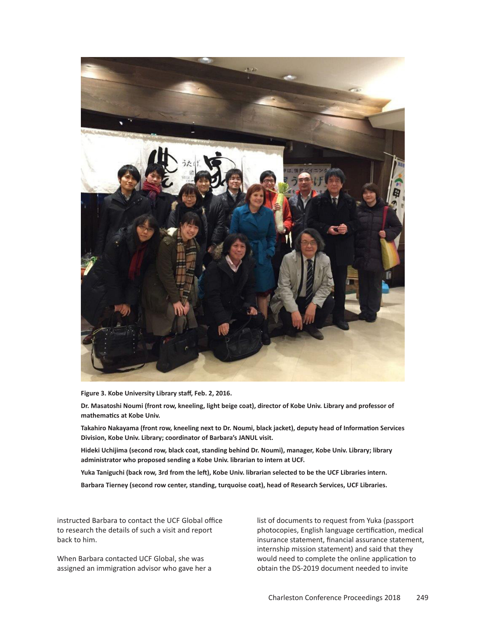

**Figure 3. Kobe University Library staff, Feb. 2, 2016.**

Dr. Masatoshi Noumi (front row, kneeling, light beige coat), director of Kobe Univ. Library and professor of **mathematics at Kobe Univ.**

**Takahiro Nakayama (front row, kneeling next to Dr. Noumi, black jacket), deputy head of Information Services Division, Kobe Univ. Library; coordinator of Barbara's JANUL visit.**

**Hideki Uchijima (second row, black coat, standing behind Dr. Noumi), manager, Kobe Univ. Library; library administrator who proposed sending a Kobe Univ. librarian to intern at UCF.**

Yuka Taniguchi (back row, 3rd from the left), Kobe Univ. librarian selected to be the UCF Libraries intern.

**Barbara Tierney (second row center, standing, turquoise coat), head of Research Services, UCF Libraries.**

instructed Barbara to contact the UCF Global office to research the details of such a visit and report back to him.

When Barbara contacted UCF Global, she was assigned an immigration advisor who gave her a list of documents to request from Yuka (passport photocopies, English language certification, medical insurance statement, financial assurance statement, internship mission statement) and said that they would need to complete the online application to obtain the DS-2019 document needed to invite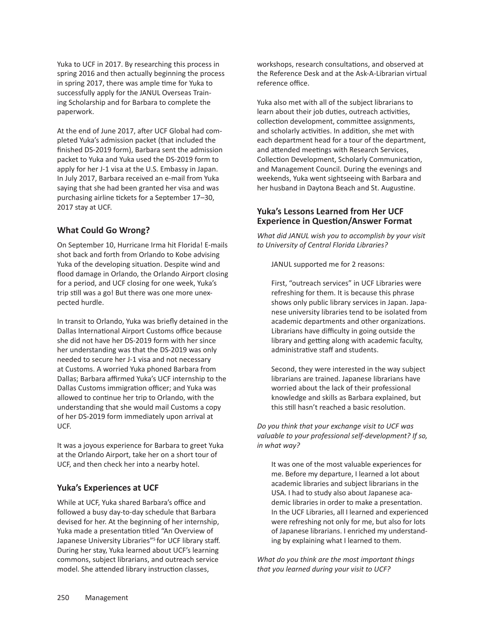Yuka to UCF in 2017. By researching this process in spring 2016 and then actually beginning the process in spring 2017, there was ample time for Yuka to successfully apply for the JANUL Overseas Training Scholarship and for Barbara to complete the paperwork.

At the end of June 2017, after UCF Global had completed Yuka's admission packet (that included the finished DS-2019 form), Barbara sent the admission packet to Yuka and Yuka used the DS-2019 form to apply for her J-1 visa at the U.S. Embassy in Japan. In July 2017, Barbara received an e-mail from Yuka saying that she had been granted her visa and was purchasing airline tickets for a September 17–30, 2017 stay at UCF.

# **What Could Go Wrong?**

On September 10, Hurricane Irma hit Florida! E-mails shot back and forth from Orlando to Kobe advising Yuka of the developing situation. Despite wind and flood damage in Orlando, the Orlando Airport closing for a period, and UCF closing for one week, Yuka's trip still was a go! But there was one more unexpected hurdle.

In transit to Orlando, Yuka was briefly detained in the Dallas International Airport Customs office because she did not have her DS-2019 form with her since her understanding was that the DS-2019 was only needed to secure her J-1 visa and not necessary at Customs. A worried Yuka phoned Barbara from Dallas; Barbara affirmed Yuka's UCF internship to the Dallas Customs immigration officer; and Yuka was allowed to continue her trip to Orlando, with the understanding that she would mail Customs a copy of her DS-2019 form immediately upon arrival at UCF.

It was a joyous experience for Barbara to greet Yuka at the Orlando Airport, take her on a short tour of UCF, and then check her into a nearby hotel.

# **Yuka's Experiences at UCF**

While at UCF, Yuka shared Barbara's office and followed a busy day-to-day schedule that Barbara devised for her. At the beginning of her internship, Yuka made a presentation titled "An Overview of Japanese University Libraries"<sup>5</sup> for UCF library staff. During her stay, Yuka learned about UCF's learning commons, subject librarians, and outreach service model. She attended library instruction classes,

workshops, research consultations, and observed at the Reference Desk and at the Ask-A-Librarian virtual reference office.

Yuka also met with all of the subject librarians to learn about their job duties, outreach activities, collection development, committee assignments, and scholarly activities. In addition, she met with each department head for a tour of the department, and attended meetings with Research Services, Collection Development, Scholarly Communication, and Management Council. During the evenings and weekends, Yuka went sightseeing with Barbara and her husband in Daytona Beach and St. Augustine.

# **Yuka's Lessons Learned from Her UCF Experience in Question/Answer Format**

*What did JANUL wish you to accomplish by your visit to University of Central Florida Libraries?*

JANUL supported me for 2 reasons:

First, "outreach services" in UCF Libraries were refreshing for them. It is because this phrase shows only public library services in Japan. Japanese university libraries tend to be isolated from academic departments and other organizations. Librarians have difficulty in going outside the library and getting along with academic faculty, administrative staff and students.

Second, they were interested in the way subject librarians are trained. Japanese librarians have worried about the lack of their professional knowledge and skills as Barbara explained, but this still hasn't reached a basic resolution.

*Do you think that your exchange visit to UCF was valuable to your professional self-development? If so, in what way?*

It was one of the most valuable experiences for me. Before my departure, I learned a lot about academic libraries and subject librarians in the USA. I had to study also about Japanese academic libraries in order to make a presentation. In the UCF Libraries, all I learned and experienced were refreshing not only for me, but also for lots of Japanese librarians. I enriched my understanding by explaining what I learned to them.

*What do you think are the most important things that you learned during your visit to UCF?*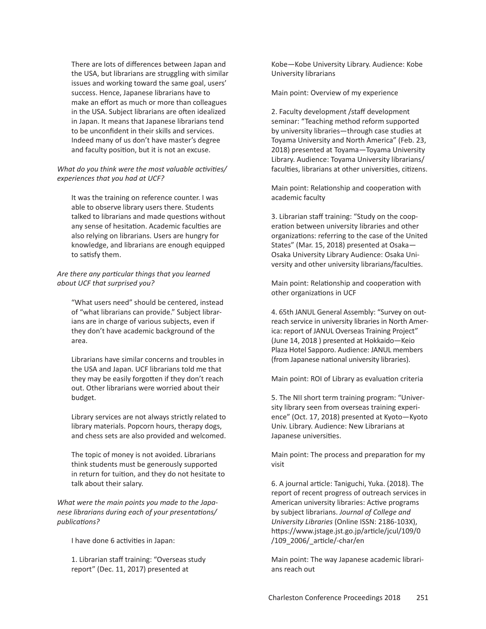There are lots of differences between Japan and the USA, but librarians are struggling with similar issues and working toward the same goal, users' success. Hence, Japanese librarians have to make an effort as much or more than colleagues in the USA. Subject librarians are often idealized in Japan. It means that Japanese librarians tend to be unconfident in their skills and services. Indeed many of us don't have master's degree and faculty position, but it is not an excuse.

#### *What do you think were the most valuable activities/ experiences that you had at UCF?*

It was the training on reference counter. I was able to observe library users there. Students talked to librarians and made questions without any sense of hesitation. Academic faculties are also relying on librarians. Users are hungry for knowledge, and librarians are enough equipped to satisfy them.

#### *Are there any particular things that you learned about UCF that surprised you?*

"What users need" should be centered, instead of "what librarians can provide." Subject librarians are in charge of various subjects, even if they don't have academic background of the area.

Librarians have similar concerns and troubles in the USA and Japan. UCF librarians told me that they may be easily forgotten if they don't reach out. Other librarians were worried about their budget.

Library services are not always strictly related to library materials. Popcorn hours, therapy dogs, and chess sets are also provided and welcomed.

The topic of money is not avoided. Librarians think students must be generously supported in return for tuition, and they do not hesitate to talk about their salary.

*What were the main points you made to the Japanese librarians during each of your presentations/ publications?*

I have done 6 activities in Japan:

1. Librarian staff training: "Overseas study report" (Dec. 11, 2017) presented at

Kobe—Kobe University Library. Audience: Kobe University librarians

Main point: Overview of my experience

2. Faculty development /staff development seminar: "Teaching method reform supported by university libraries—through case studies at Toyama University and North America" (Feb. 23, 2018) presented at Toyama—Toyama University Library. Audience: Toyama University librarians/ faculties, librarians at other universities, citizens.

Main point: Relationship and cooperation with academic faculty

3. Librarian staff training: "Study on the cooperation between university libraries and other organizations: referring to the case of the United States" (Mar. 15, 2018) presented at Osaka— Osaka University Library Audience: Osaka University and other university librarians/faculties.

Main point: Relationship and cooperation with other organizations in UCF

4. 65th JANUL General Assembly: "Survey on outreach service in university libraries in North America: report of JANUL Overseas Training Project" (June 14, 2018 ) presented at Hokkaido—Keio Plaza Hotel Sapporo. Audience: JANUL members (from Japanese national university libraries).

Main point: ROI of Library as evaluation criteria

5. The NII short term training program: "University library seen from overseas training experience" (Oct. 17, 2018) presented at Kyoto—Kyoto Univ. Library. Audience: New Librarians at Japanese universities.

Main point: The process and preparation for my visit

6. A journal article: Taniguchi, Yuka. (2018). The report of recent progress of outreach services in American university libraries: Active programs by subject librarians. *Journal of College and University Libraries* (Online ISSN: 2186-103X), https://www.jstage.jst.go.jp/article/jcul/109/0 /109\_2006/\_article/-char/en

Main point: The way Japanese academic librarians reach out